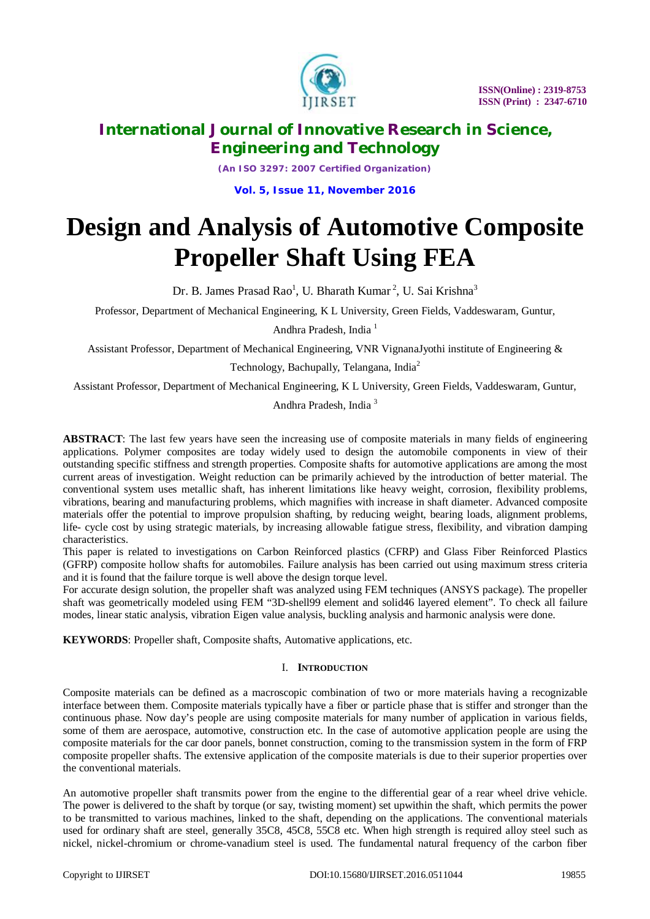

*(An ISO 3297: 2007 Certified Organization)*

**Vol. 5, Issue 11, November 2016**

# **Design and Analysis of Automotive Composite Propeller Shaft Using FEA**

Dr. B. James Prasad Rao<sup>1</sup>, U. Bharath Kumar<sup>2</sup>, U. Sai Krishna<sup>3</sup>

Professor, Department of Mechanical Engineering, K L University, Green Fields, Vaddeswaram, Guntur,

Andhra Pradesh, India<sup>1</sup>

Assistant Professor, Department of Mechanical Engineering, VNR VignanaJyothi institute of Engineering &

Technology, Bachupally, Telangana, India<sup>2</sup>

Assistant Professor, Department of Mechanical Engineering, K L University, Green Fields, Vaddeswaram, Guntur,

Andhra Pradesh, India <sup>3</sup>

**ABSTRACT**: The last few years have seen the increasing use of composite materials in many fields of engineering applications. Polymer composites are today widely used to design the automobile components in view of their outstanding specific stiffness and strength properties. Composite shafts for automotive applications are among the most current areas of investigation. Weight reduction can be primarily achieved by the introduction of better material. The conventional system uses metallic shaft, has inherent limitations like heavy weight, corrosion, flexibility problems, vibrations, bearing and manufacturing problems, which magnifies with increase in shaft diameter. Advanced composite materials offer the potential to improve propulsion shafting, by reducing weight, bearing loads, alignment problems, life- cycle cost by using strategic materials, by increasing allowable fatigue stress, flexibility, and vibration damping characteristics.

This paper is related to investigations on Carbon Reinforced plastics (CFRP) and Glass Fiber Reinforced Plastics (GFRP) composite hollow shafts for automobiles. Failure analysis has been carried out using maximum stress criteria and it is found that the failure torque is well above the design torque level.

For accurate design solution, the propeller shaft was analyzed using FEM techniques (ANSYS package). The propeller shaft was geometrically modeled using FEM "3D-shell99 element and solid46 layered element". To check all failure modes, linear static analysis, vibration Eigen value analysis, buckling analysis and harmonic analysis were done.

**KEYWORDS**: Propeller shaft, Composite shafts, Automative applications, etc.

### I. **INTRODUCTION**

Composite materials can be defined as a macroscopic combination of two or more materials having a recognizable interface between them. Composite materials typically have a fiber or particle phase that is stiffer and stronger than the continuous phase. Now day's people are using composite materials for many number of application in various fields, some of them are aerospace, automotive, construction etc. In the case of automotive application people are using the composite materials for the car door panels, bonnet construction, coming to the transmission system in the form of FRP composite propeller shafts. The extensive application of the composite materials is due to their superior properties over the conventional materials.

An automotive propeller shaft transmits power from the engine to the differential gear of a rear wheel drive vehicle. The power is delivered to the shaft by torque (or say, twisting moment) set upwithin the shaft, which permits the power to be transmitted to various machines, linked to the shaft, depending on the applications. The conventional materials used for ordinary shaft are steel, generally 35C8, 45C8, 55C8 etc. When high strength is required alloy steel such as nickel, nickel-chromium or chrome-vanadium steel is used. The fundamental natural frequency of the carbon fiber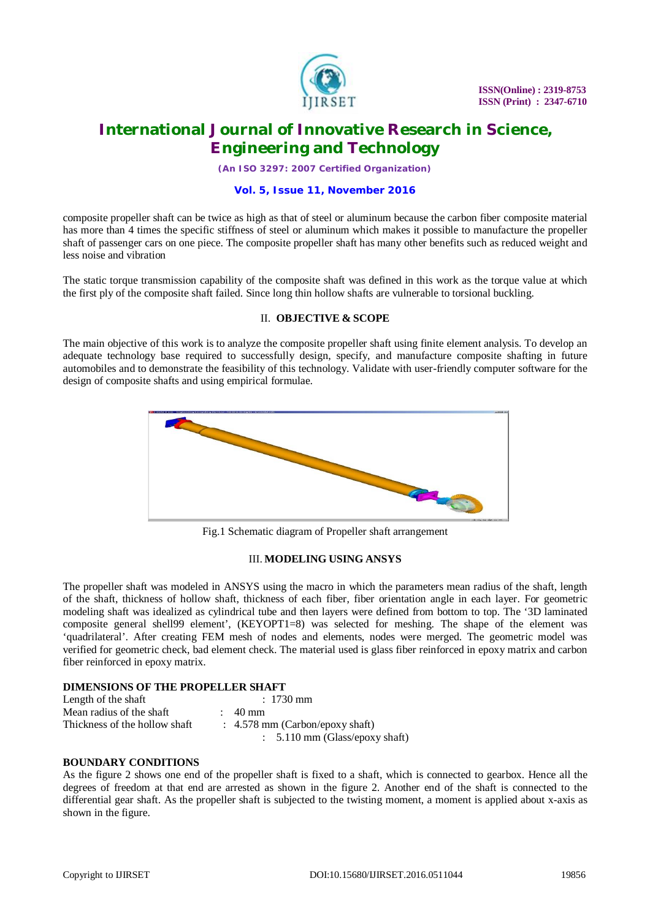

*(An ISO 3297: 2007 Certified Organization)*

#### **Vol. 5, Issue 11, November 2016**

composite propeller shaft can be twice as high as that of steel or aluminum because the carbon fiber composite material has more than 4 times the specific stiffness of steel or aluminum which makes it possible to manufacture the propeller shaft of passenger cars on one piece. The composite propeller shaft has many other benefits such as reduced weight and less noise and vibration

The static torque transmission capability of the composite shaft was defined in this work as the torque value at which the first ply of the composite shaft failed. Since long thin hollow shafts are vulnerable to torsional buckling.

### II. **OBJECTIVE & SCOPE**

The main objective of this work is to analyze the composite propeller shaft using finite element analysis. To develop an adequate technology base required to successfully design, specify, and manufacture composite shafting in future automobiles and to demonstrate the feasibility of this technology. Validate with user-friendly computer software for the design of composite shafts and using empirical formulae.



Fig.1 Schematic diagram of Propeller shaft arrangement

### III. **MODELING USING ANSYS**

The propeller shaft was modeled in ANSYS using the macro in which the parameters mean radius of the shaft, length of the shaft, thickness of hollow shaft, thickness of each fiber, fiber orientation angle in each layer. For geometric modeling shaft was idealized as cylindrical tube and then layers were defined from bottom to top. The '3D laminated composite general shell99 element', (KEYOPT1=8) was selected for meshing. The shape of the element was 'quadrilateral'. After creating FEM mesh of nodes and elements, nodes were merged. The geometric model was verified for geometric check, bad element check. The material used is glass fiber reinforced in epoxy matrix and carbon fiber reinforced in epoxy matrix.

### **DIMENSIONS OF THE PROPELLER SHAFT**

| Length of the shaft           | $: 1730$ mm                                |
|-------------------------------|--------------------------------------------|
| Mean radius of the shaft      | 40 mm                                      |
| Thickness of the hollow shaft | $\therefore$ 4.578 mm (Carbon/epoxy shaft) |
|                               | $\therefore$ 5.110 mm (Glass/epoxy shaft)  |

### **BOUNDARY CONDITIONS**

As the figure 2 shows one end of the propeller shaft is fixed to a shaft, which is connected to gearbox. Hence all the degrees of freedom at that end are arrested as shown in the figure 2. Another end of the shaft is connected to the differential gear shaft. As the propeller shaft is subjected to the twisting moment, a moment is applied about x-axis as shown in the figure.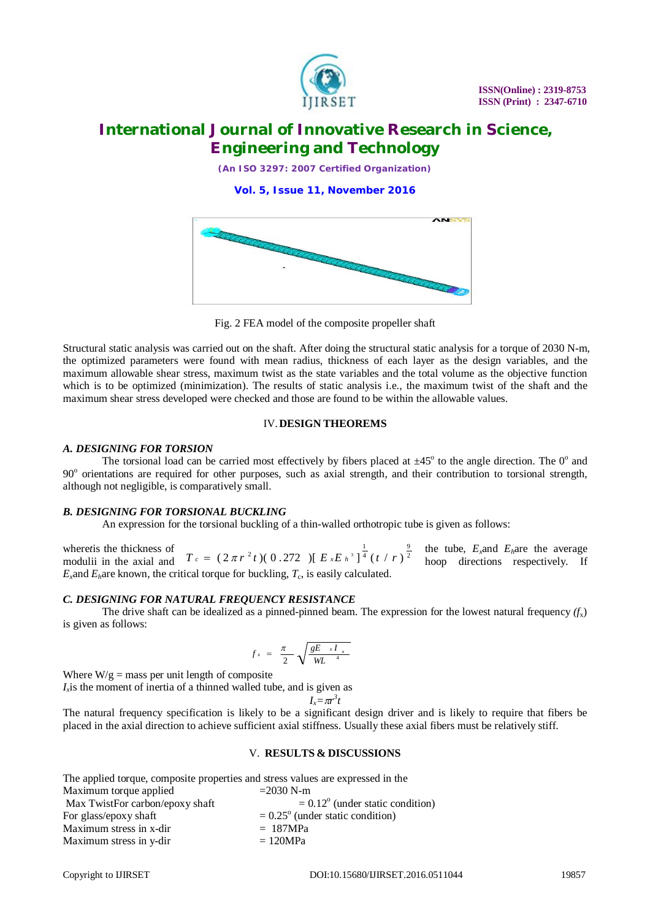

*(An ISO 3297: 2007 Certified Organization)*

**Vol. 5, Issue 11, November 2016**



Fig. 2 FEA model of the composite propeller shaft

Structural static analysis was carried out on the shaft. After doing the structural static analysis for a torque of 2030 N-m, the optimized parameters were found with mean radius, thickness of each layer as the design variables, and the maximum allowable shear stress, maximum twist as the state variables and the total volume as the objective function which is to be optimized (minimization). The results of static analysis i.e., the maximum twist of the shaft and the maximum shear stress developed were checked and those are found to be within the allowable values.

### IV.**DESIGN THEOREMS**

### *A. DESIGNING FOR TORSION*

The torsional load can be carried most effectively by fibers placed at  $\pm 45^{\circ}$  to the angle direction. The  $0^{\circ}$  and 90° orientations are required for other purposes, such as axial strength, and their contribution to torsional strength, although not negligible, is comparatively small.

### *B. DESIGNING FOR TORSIONAL BUCKLING*

An expression for the torsional buckling of a thin-walled orthotropic tube is given as follows:

where*t* is the thickness of  $\int_{0}^{\infty}$  the tube, *E<sub><i>x*</sub>and *E<sub>h</sub>are* the average modulii in the axial and  $T_c = (2\pi r^2 t)(0.272) [E_x E_h^3]^4 (t/r)^2$  hoop directions respectively. If  $E_x$  and  $E_h$  are known, the critical torque for buckling,  $T_c$ , is easily calculated. 9 4  $T_c = (2 \pi r^2 t)(0.272) [E_x E_h^3]^\frac{1}{4} (t/r)$ 

### *C. DESIGNING FOR NATURAL FREQUENCY RESISTANCE*

The drive shaft can be idealized as a pinned-pinned beam. The expression for the lowest natural frequency  $(f<sub>x</sub>)$ is given as follows:

$$
f_x = \frac{\pi}{2} \sqrt{\frac{gE_x I_x}{WL}^4}
$$

Where  $W/g =$  mass per unit length of composite

*Ix* is the moment of inertia of a thinned walled tube, and is given as *3*

$$
I_x = \pi r^3 t
$$

The natural frequency specification is likely to be a significant design driver and is likely to require that fibers be placed in the axial direction to achieve sufficient axial stiffness. Usually these axial fibers must be relatively stiff.

#### V. **RESULTS & DISCUSSIONS**

| The applied torque, composite properties and stress values are expressed in the |                                           |
|---------------------------------------------------------------------------------|-------------------------------------------|
| Maximum torque applied                                                          | $=2030$ N-m                               |
| Max TwistFor carbon/epoxy shaft                                                 | $= 0.12^{\circ}$ (under static condition) |
| For glass/epoxy shaft                                                           | $= 0.25^{\circ}$ (under static condition) |
| Maximum stress in x-dir                                                         | $= 187 MPa$                               |
| Maximum stress in y-dir                                                         | $= 120 MPa$                               |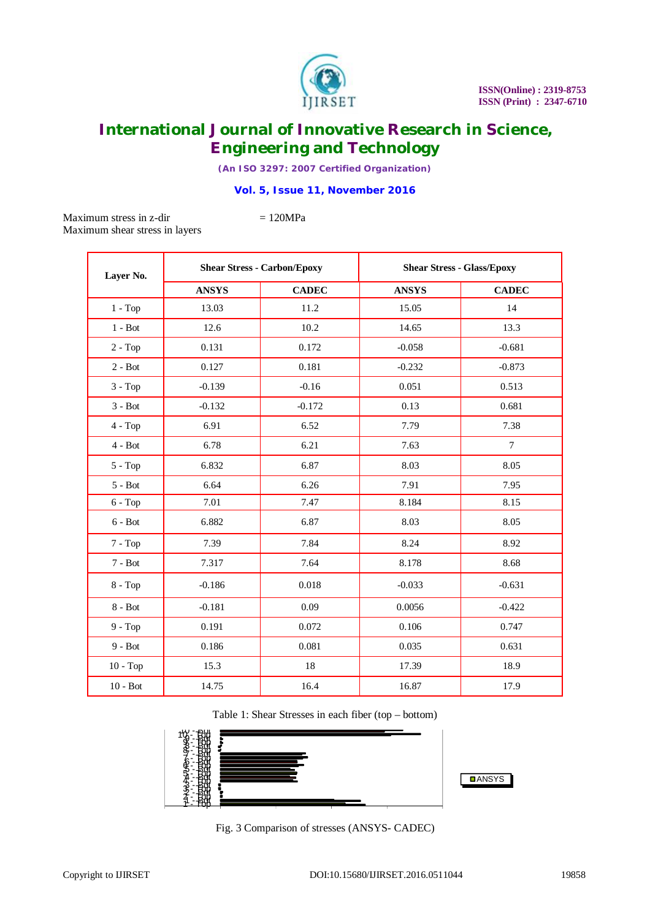

*(An ISO 3297: 2007 Certified Organization)*

### **Vol. 5, Issue 11, November 2016**

Maximum stress in z-dir  $= 120 MPa$ Maximum shear stress in layers

| Layer No.  | <b>Shear Stress - Carbon/Epoxy</b> |              | <b>Shear Stress - Glass/Epoxy</b> |              |
|------------|------------------------------------|--------------|-----------------------------------|--------------|
|            | <b>ANSYS</b>                       | <b>CADEC</b> | <b>ANSYS</b>                      | <b>CADEC</b> |
| $1 - Top$  | 13.03                              | 11.2         | 15.05                             | 14           |
| $1 - Bot$  | 12.6                               | 10.2         | 14.65                             | 13.3         |
| $2 - Top$  | 0.131                              | 0.172        | $-0.058$                          | $-0.681$     |
| $2 - Bot$  | 0.127                              | 0.181        | $-0.232$                          | $-0.873$     |
| $3 - Top$  | $-0.139$                           | $-0.16$      | 0.051                             | 0.513        |
| $3 - Bot$  | $-0.132$                           | $-0.172$     | 0.13                              | 0.681        |
| $4 - Top$  | 6.91                               | 6.52         | 7.79                              | 7.38         |
| $4 - Bot$  | 6.78                               | 6.21         | 7.63                              | $\tau$       |
| $5 - Top$  | 6.832                              | 6.87         | 8.03                              | 8.05         |
| $5 - Bot$  | 6.64                               | 6.26         | 7.91                              | 7.95         |
| $6 - Top$  | 7.01                               | 7.47         | 8.184                             | 8.15         |
| $6 - Bot$  | 6.882                              | 6.87         | 8.03                              | 8.05         |
| $7 - Top$  | 7.39                               | 7.84         | 8.24                              | 8.92         |
| $7 - Bot$  | 7.317                              | 7.64         | 8.178                             | 8.68         |
| $8 - Top$  | $-0.186$                           | 0.018        | $-0.033$                          | $-0.631$     |
| $8 - Bot$  | $-0.181$                           | 0.09         | 0.0056                            | $-0.422$     |
| $9 - Top$  | 0.191                              | 0.072        | 0.106                             | 0.747        |
| $9 - Bot$  | 0.186                              | 0.081        | 0.035                             | 0.631        |
| $10 - Top$ | 15.3                               | 18           | 17.39                             | 18.9         |
| $10 - Bot$ | 14.75                              | 16.4         | 16.87                             | 17.9         |

Table 1: Shear Stresses in each fiber (top – bottom)



Fig. 3 Comparison of stresses (ANSYS- CADEC)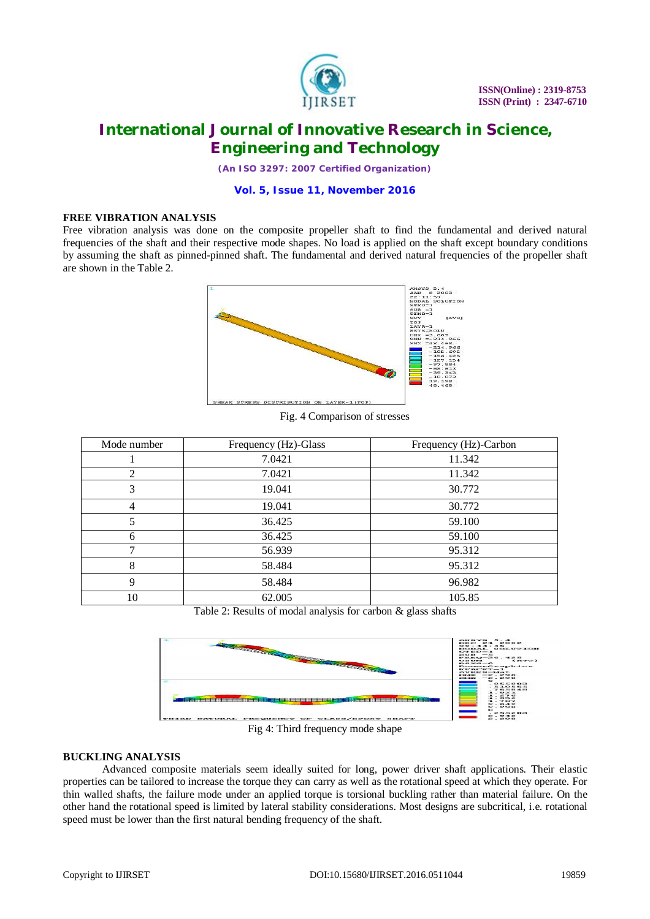

*(An ISO 3297: 2007 Certified Organization)*

### **Vol. 5, Issue 11, November 2016**

#### **FREE VIBRATION ANALYSIS**

Free vibration analysis was done on the composite propeller shaft to find the fundamental and derived natural frequencies of the shaft and their respective mode shapes. No load is applied on the shaft except boundary conditions by assuming the shaft as pinned-pinned shaft. The fundamental and derived natural frequencies of the propeller shaft are shown in the Table 2.



Fig. 4 Comparison of stresses

| Mode number | Frequency (Hz)-Glass | Frequency (Hz)-Carbon |
|-------------|----------------------|-----------------------|
|             | 7.0421               | 11.342                |
| 2           | 7.0421               | 11.342                |
| 3           | 19.041               | 30.772                |
| 4           | 19.041               | 30.772                |
| 5           | 36.425               | 59.100                |
| 6           | 36.425               | 59.100                |
| ┑           | 56.939               | 95.312                |
| 8           | 58.484               | 95.312                |
| 9           | 58.484               | 96.982                |
| 10          | 62.005               | 105.85                |

Table 2: Results of modal analysis for carbon & glass shafts



Fig 4: Third frequency mode shape

#### **BUCKLING ANALYSIS**

Advanced composite materials seem ideally suited for long, power driver shaft applications. Their elastic properties can be tailored to increase the torque they can carry as well as the rotational speed at which they operate. For thin walled shafts, the failure mode under an applied torque is torsional buckling rather than material failure. On the other hand the rotational speed is limited by lateral stability considerations. Most designs are subcritical, i.e. rotational speed must be lower than the first natural bending frequency of the shaft.